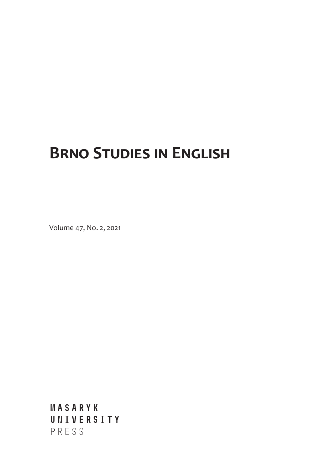## **Brno Studies in English**

Volume 47, No. 2, 2021

**MASARYK UNIVERSITY** PRESS